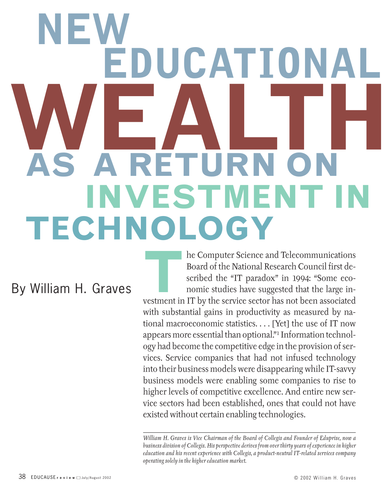# **WEALTH NEW DUCATION AS A RETURN ON INVESTMENT IN TECHNOLOGY**

By William H. Graves

he Computer Science and Telecommunications<br>Board of the National Research Council first de-<br>scribed the "IT paradox" in 1994: "Some eco-<br>nomic studies have suggested that the large in-<br>vestment in IT by the service sector Board of the National Research Council first described the "IT paradox" in 1994: "Some economic studies have suggested that the large investment in IT by the service sector has not been associated with substantial gains in productivity as measured by national macroeconomic statistics. . . . [Yet] the use of IT now appears more essential than optional."1 Information technology had become the competitive edge in the provision of services. Service companies that had not infused technology into their business models were disappearing while IT-savvy business models were enabling some companies to rise to higher levels of competitive excellence. And entire new service sectors had been established, ones that could not have existed without certain enabling technologies.

*William H. Graves is Vice Chairman of the Board of Collegis and Founder of Eduprise, now a business division of Collegis. His perspective derives from over thirty years of experience in higher education and his recent experience with Collegis, a product-neutral IT-related services company operating solely in the higher education market.*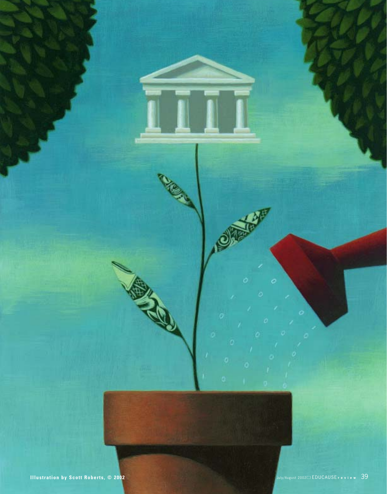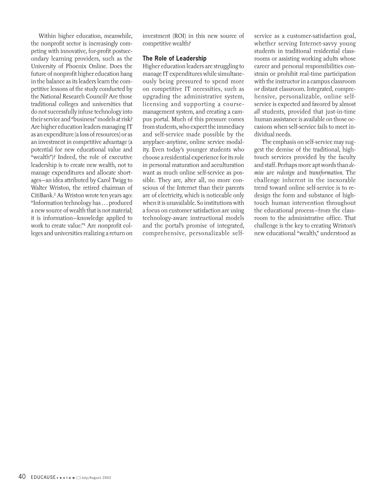Within higher education, meanwhile, the nonprofit sector is increasingly competing with innovative, for-profit postsecondary learning providers, such as the University of Phoenix Online. Does the future of nonprofit higher education hang in the balance as its leaders learn the competitive lessons of the study conducted by the National Research Council? Are those traditional colleges and universities that do not successfully infuse technology into their service and "business" models at risk? Are higher education leaders managing IT as an expenditure (a loss of resources) or as an investment in competitive advantage (a potential for new educational value and "wealth")? Indeed, the role of executive leadership is to create new wealth, not to manage expenditures and allocate shortages—an idea attributed by Carol Twigg to Walter Wriston, the retired chairman of CitiBank.2 As Wriston wrote ten years ago: "Information technology has . . . produced a new source of wealth that is not material; it is information—knowledge applied to work to create value."3 Are nonprofit colleges and universities realizing a return on

investment (ROI) in this new source of competitive wealth?

### **The Role of Leadership**

Higher education leaders are struggling to manage IT expenditures while simultaneously being pressured to spend more on competitive IT necessities, such as upgrading the administrative system, licensing and supporting a coursemanagement system, and creating a campus portal. Much of this pressure comes from students, who expect the immediacy and self-service made possible by the anyplace-anytime, online service modality. Even today's younger students who choose a residential experience for its role in personal maturation and acculturation want as much online self-service as possible. They are, after all, no more conscious of the Internet than their parents are of electricity, which is noticeable only when it is unavailable. So institutions with a focus on customer satisfaction are using technology-aware instructional models and the portal's promise of integrated, comprehensive, personalizable selfservice as a customer-satisfaction goal, whether serving Internet-savvy young students in traditional residential classrooms or assisting working adults whose career and personal responsibilities constrain or prohibit real-time participation with the instructor in a campus classroom or distant classroom. Integrated, comprehensive, personalizable, online selfservice is expected and favored by almost *all* students, provided that just-in-time human assistance is available on those occasions when self-service fails to meet individual needs.

The emphasis on self-service may suggest the demise of the traditional, hightouch services provided by the faculty and staff. Perhaps more apt words than *demise* are *redesign* and *transformation.* The challenge inherent in the inexorable trend toward online self-service is to redesign the form and substance of hightouch human intervention throughout the educational process—from the classroom to the administrative office. That challenge is the key to creating Wriston's new educational "wealth," understood as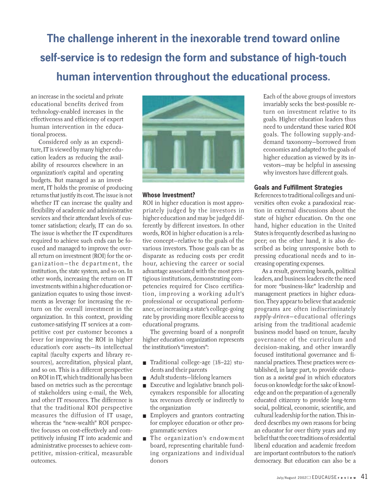**The challenge inherent in the inexorable trend toward online self-service is to redesign the form and substance of high-touch human intervention throughout the educational process.**

an increase in the societal and private educational benefits derived from technology-enabled increases in the effectiveness and efficiency of expert human intervention in the educational process.

Considered only as an expenditure, IT is viewed by many higher education leaders as reducing the availability of resources elsewhere in an organization's capital and operating budgets. But managed as an investment, IT holds the promise of producing returns that justify its cost. The issue is not whether IT can increase the quality and flexibility of academic and administrative services and their attendant levels of customer satisfaction; clearly, IT can do so. The issue is whether the IT expenditures required to achieve such ends can be focused and managed to improve the overall return on investment (ROI) for the organization—the department, the institution, the state system, and so on. In other words, increasing the return on IT investments within a higher education organization equates to using those investments as leverage for increasing the return on the overall investment in the organization. In this context, providing customer-satisfying IT services at a competitive cost per customer becomes a lever for improving the ROI in higher education's core assets—its intellectual capital (faculty experts and library resources), accreditation, physical plant, and so on. This is a different perspective on ROI in IT, which traditionally has been based on metrics such as the percentage of stakeholders using e-mail, the Web, and other IT resources. The difference is that the traditional ROI perspective measures the diffusion of IT usage, whereas the "new-wealth" ROI perspective focuses on cost-effectively and competitively infusing IT into academic and administrative processes to achieve competitive, mission-critical, measurable outcomes.



### **Whose Investment?**

ROI in higher education is most appropriately judged by the investors in higher education and may be judged differently by different investors. In other words, ROI in higher education is a relative concept—relative to the goals of the various investors. Those goals can be as disparate as reducing costs per credit hour, achieving the career or social advantage associated with the most prestigious institutions, demonstrating competencies required for Cisco certification, improving a working adult's professional or occupational performance, or increasing a state's college-going rate by providing more flexible access to educational programs.

The governing board of a nonprofit higher education organization represents the institution's "investors":

- Traditional college-age (18–22) students and their parents
- Adult students-lifelong learners
- Executive and legislative branch policymakers responsible for allocating tax revenues directly or indirectly to the organization
- Employers and grantors contracting for employee education or other programmatic services
- The organization's endowment board, representing charitable funding organizations and individual donors

Each of the above groups of investors invariably seeks the best-possible return on investment relative to its goals. Higher education leaders thus need to understand these varied ROI goals. The following supply-anddemand taxonomy—borrowed from economics and adapted to the goals of higher education as viewed by its investors—may be helpful in assessing why investors have different goals.

## **Goals and Fulfillment Strategies**

References to traditional colleges and universities often evoke a paradoxical reaction in external discussions about the state of higher education. On the one hand, higher education in the United States is frequently described as having no peer; on the other hand, it is also described as being unresponsive both to pressing educational needs and to increasing operating expenses.

As a result, governing boards, political leaders, and business leaders cite the need for more "business-like" leadership and management practices in higher education. They appear to believe that academic programs are often indiscriminately *supply-driven*— educational offerings arising from the traditional academic business model based on tenure, faculty governance of the curriculum and decision-making, and other inwardly focused institutional governance and financial practices. These practices were established, in large part, to provide education as a *societal good* in which educators focus on knowledge for the sake of knowledge and on the preparation of a generally educated citizenry to provide long-term social, political, economic, scientific, and cultural leadership for the nation. This indeed describes my own reasons for being an educator for over thirty years and my belief that the core traditions of residential liberal education and academic freedom are important contributors to the nation's democracy. But education can also be a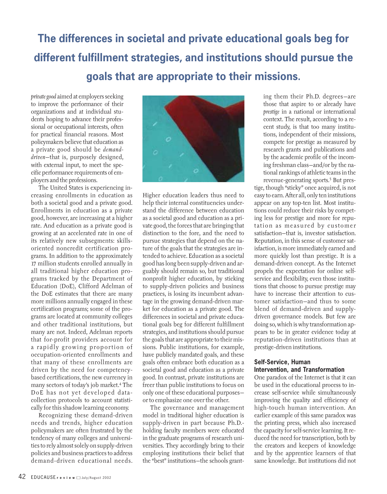**The differences in societal and private educational goals beg for different fulfillment strategies, and institutions should pursue the goals that are appropriate to their missions.** 

*private good* aimed at employers seeking to improve the performance of their organizations and at individual students hoping to advance their professional or occupational interests, often for practical financial reasons. Most policymakers believe that education as a private good should be *demanddriven*—that is, purposely designed, with external input, to meet the specific performance requirements of employers and the professions.

The United States is experiencing increasing enrollments in education as both a societal good and a private good. Enrollments in education as a private good, however, are increasing at a higher rate. And education as a private good is growing at an accelerated rate in one of its relatively new subsegments: skillsoriented noncredit certification programs. In addition to the approximately 17 million students enrolled annually in all traditional higher education programs tracked by the Department of Education (DoE), Clifford Adelman of the DoE estimates that there are many more millions annually engaged in these certification programs; some of the programs are located at community colleges and other traditional institutions, but many are not. Indeed, Adelman reports that for-profit providers account for a rapidly growing proportion of occupation-oriented enrollments and that many of these enrollments are driven by the need for competencybased certifications, the new currency in many sectors of today's job market.4 The DoE has not yet developed datacollection protocols to account statistically for this shadow learning economy.

Recognizing these demand-driven needs and trends, higher education policymakers are often frustrated by the tendency of many colleges and universities to rely almost solely on supply-driven policies and business practices to address demand-driven educational needs.



Higher education leaders thus need to help their internal constituencies understand the difference between education as a societal good and education as a private good, the forces that are bringing that distinction to the fore, and the need to pursue strategies that depend on the nature of the goals that the strategies are intended to achieve. Education as a societal good has long been supply-driven and arguably should remain so, but traditional nonprofit higher education, by sticking to supply-driven policies and business practices, is losing its incumbent advantage in the growing demand-driven market for education as a private good. The differences in societal and private educational goals beg for different fulfillment strategies, and institutions should pursue the goals that are appropriate to their missions. Public institutions, for example, have publicly mandated goals, and these goals often embrace both education as a societal good and education as a private good. In contrast, private institutions are freer than public institutions to focus on only one of these educational purposes or to emphasize one over the other.

The governance and management model in traditional higher education is supply-driven in part because Ph.D. holding faculty members were educated in the graduate programs of research universities. They accordingly bring to their employing institutions their belief that the "best" institutions—the schools granting them their Ph.D. degrees—are those that aspire to or already have *prestige* in a national or international context. The result, according to a recent study, is that too many institutions, independent of their missions, compete for prestige as measured by research grants and publications and by the academic profile of the incoming freshman class—and/or by the national rankings of athletic teams in the revenue-generating sports.5 But pres-

tige, though "sticky" once acquired, is not easy to earn. After all, only ten institutions appear on any top-ten list. Most institutions could reduce their risks by competing less for prestige and more for reputation as measured by customer satisfaction—that is, investor satisfaction. Reputation, in this sense of customer satisfaction, is more immediately earned and more quickly lost than prestige. It is a demand-driven concept. As the Internet propels the expectation for online selfservice and flexibility, even those institutions that choose to pursue prestige may have to increase their attention to customer satisfaction—and thus to some blend of demand-driven and supplydriven governance models. But few are doing so, which is why transformation appears to be in greater evidence today at reputation-driven institutions than at prestige-driven institutions.

## **Self-Service, Human Intervention, and Transformation**

One paradox of the Internet is that it can be used in the educational process to increase self-service while simultaneously improving the quality and efficiency of high-touch human intervention. An earlier example of this same paradox was the printing press, which also increased the capacity for self-service learning. It reduced the need for transcription, both by the creators and keepers of knowledge and by the apprentice learners of that same knowledge. But institutions did not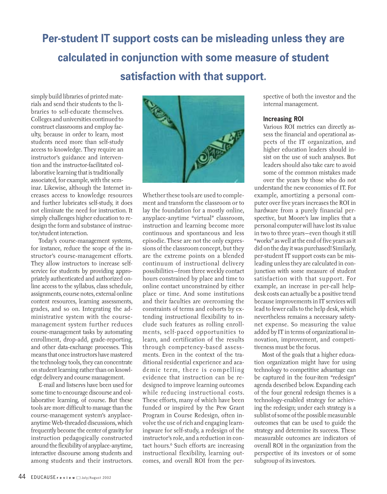# **Per-student IT support costs can be misleading unless they are calculated in conjunction with some measure of student satisfaction with that support.**

simply build libraries of printed materials and send their students to the libraries to self-educate themselves. Colleges and universities continued to construct classrooms and employ faculty, because in order to learn, most students need more than self-study access to knowledge. They require an instructor's guidance and intervention and the instructor-facilitated collaborative learning that is traditionally associated, for example, with the seminar. Likewise, although the Internet increases access to knowledge resources and further lubricates self-study, it does not eliminate the need for instruction. It simply challenges higher education to redesign the form and substance of instructor/student interaction.

Today's course-management systems, for instance, reduce the scope of the instructor's course-management efforts. They allow instructors to increase selfservice for students by providing appropriately authenticated and authorized online access to the syllabus, class schedule, assignments, course notes, external online content resources, learning assessments, grades, and so on. Integrating the administrative system with the coursemanagement system further reduces course-management tasks by automating enrollment, drop-add, grade-reporting, and other data-exchange processes. This means that once instructors have mastered the technology tools, they can concentrate on student learning rather than on knowledge delivery and course management.

E-mail and listservs have been used for some time to encourage discourse and collaborative learning, of course. But these tools are more difficult to manage than the course-management system's anyplaceanytime Web-threaded discussions, which frequently become the center of gravity for instruction pedagogically constructed around the flexibility of anyplace-anytime, interactive discourse among students and among students and their instructors.



Whether these tools are used to complement and transform the classroom or to lay the foundation for a mostly online, anyplace-anytime "virtual" classroom, instruction and learning become more continuous and spontaneous and less episodic. These are not the only expressions of the classroom concept, but they are the extreme points on a blended continuum of instructional delivery possibilities—from three weekly contact hours constrained by place and time to online contact unconstrained by either place or time. And some institutions and their faculties are overcoming the constraints of terms and cohorts by extending instructional flexibility to include such features as rolling enrollments, self-paced opportunities to learn, and certification of the results through competency-based assessments. Even in the context of the traditional residential experience and academic term, there is compelling evidence that instruction can be redesigned to improve learning outcomes while reducing instructional costs. These efforts, many of which have been funded or inspired by the Pew Grant Program in Course Redesign, often involve the use of rich and engaging learningware for self-study, a redesign of the instructor's role, and a reduction in contact hours.<sup>6</sup> Such efforts are increasing instructional flexibility, learning outcomes, and overall ROI from the perspective of both the investor and the internal management.

### **Increasing ROI**

Various ROI metrics can directly assess the financial and operational aspects of the IT organization, and higher education leaders should insist on the use of such analyses. But leaders should also take care to avoid some of the common mistakes made over the years by those who do not

understand the new economics of IT. For example, amortizing a personal computer over five years increases the ROI in hardware from a purely financial perspective, but Moore's law implies that a personal computer will have lost its value in two to three years—even though it still "works" as well at the end of five years as it did on the day it was purchased! Similarly, per-student IT support costs can be misleading unless they are calculated in conjunction with some measure of student satisfaction with that support. For example, an increase in per-call helpdesk costs can actually be a positive trend because improvements in IT services will lead to fewer calls to the help desk, which nevertheless remains a necessary safetynet expense. So measuring the value added by IT in terms of organizational innovation, improvement, and competitiveness must be the focus.

Most of the goals that a higher education organization might have for using technology to competitive advantage can be captured in the four-item "redesign" agenda described below. Expanding each of the four general redesign themes is a technology-enabled strategy for achieving the redesign; under each strategy is a sublist of some of the possible measurable outcomes that can be used to guide the strategy and determine its success. These measurable outcomes are indicators of overall ROI in the organization from the perspective of its investors or of some subgroup of its investors.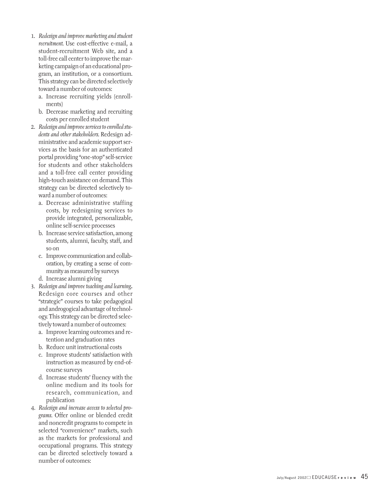- 1. *Redesign and improve marketing and student recruitment.* Use cost-effective e-mail, a student-recruitment Web site, and a toll-free call center to improve the mar keting campaign of an educational program, an institution, or a consortium. This strategy can be directed selectively toward a number of outcomes:
	- a. Increase recruiting yields (enrollments)
	- b. Decrease marketing and recruiting costs per enrolled student
- 2. *Redesign and improve services to enrolled students and other stakeholders.* Redesign administrative and academic support services as the basis for an authenticated portal providing "one-stop" self-service for students and other stakeholders and a toll-free call center providing high-touch assistance on demand. This strategy can be directed selectively toward a number of outcomes:
	- a. Decrease administrative staffing costs, by redesigning services to provide integrated, personalizable, online self-service processes
	- b. Increase service satisfaction, among students, alumni, faculty, staff, and so on
	- c. Improve communication and collaboration, by creating a sense of community as measured by surveys
	- d. Increase alumni giving
- 3. *Redesign and improve teaching and learning* **.** Redesign core courses and other "strategic" courses to take pedagogical and androgogical advantage of technology. This strategy can be directed selectively toward a number of outcomes:
	- a. Improve learning outcomes and re tention and graduation rates
	- b. Reduce unit instructional costs
	- c. Improve students' satisfaction with instruction as measured by end-ofcourse surveys
	- d. Increase students' fluency with the online medium and its tools for research, communication, and publication
- 4. *Redesign and increase access to selected programs.* Offer online or blended credit and noncredit programs to compete in selected "convenience" markets, such as the markets for professional and occupational programs. This strategy can be directed selectively toward a number of outcomes: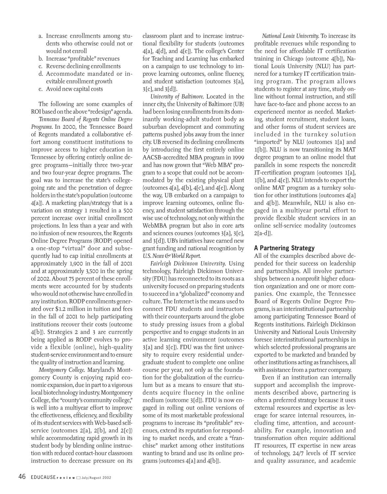- a. Increase enrollments among students who otherwise could not or would not enroll
- b. Increase "profitable" revenues
- c. Reverse declining enrollments
- d. Accommodate mandated or inevitable enrollment growth
- e. Avoid new capital costs

The following are some examples of ROI based on the above "redesign" agenda.

*Tennessee Board of Regents Online Degree Programs.* In 2000, the Tennessee Board of Regents mandated a collaborative effort among constituent institutions to improve access to higher education in Tennessee by offering entirely online degree programs—initially three two-year and two four-year degree programs. The goal was to increase the state's collegegoing rate and the penetration of degree holders in the state's population (outcome 4[a]). A marketing plan/strategy that is a variation on strategy 1 resulted in a 500 percent increase over initial enrollment projections. In less than a year and with no infusion of new resources, the Regents Online Degree Programs (RODP) opened a one-stop "virtual" door and subsequently had to cap initial enrollments at approximately 1,900 in the fall of 2001 and at approximately 3,500 in the spring of 2002. About 75 percent of these enrollments were accounted for by students who would not otherwise have enrolled in any institution. RODP enrollments generated over \$1.2 million in tuition and fees in the fall of 2001 to help participating institutions recover their costs (outcome 4[b]). Strategies 2 and 3 are currently being applied as RODP evolves to provide a flexible (online), high-quality student-service environment and to ensure the quality of instruction and learning.

*Montgomery College.* Maryland's Montgomery County is enjoying rapid economic expansion, due in part to a vigorous local biotechnology industry. Montgomery College, the "county's community college," is well into a multiyear effort to improve the effectiveness, efficiency, and flexibility of its student services with Web-based selfservice (outcomes 2[a], 2[b], and 2[c]) while accommodating rapid growth in its student body by blending online instruction with reduced contact-hour classroom instruction to decrease pressure on its

classroom plant and to increase instructional flexibility for students (outcomes 4[a], 4[d], and 4[e]). The college's Center for Teaching and Learning has embarked on a campaign to use technology to improve learning outcomes, online fluency, and student satisfaction (outcomes 3[a], 3[c], and 3[d]).

*University of Baltimore.* Located in the inner city, the University of Baltimore (UB) had been losing enrollments from its dominantly working-adult student body as suburban development and commuting patterns pushed jobs away from the inner city. UB reversed its declining enrollments by introducing the first entirely online AACSB-accredited MBA program in 1999 and has now grown that "Web MBA" program to a scope that could not be accommodated by the existing physical plant (outcomes  $4[a]$ ,  $4[b]$ ,  $4[c]$ , and  $4[e]$ ). Along the way, UB embarked on a campaign to improve learning outcomes, online fluency, and student satisfaction through the wise use of technology, not only within the WebMBA program but also in core arts and sciences courses (outcomes 3[a], 3[c], and 3[d]). UB's initiatives have earned new grant funding and national recognition by *U.S. News & World Report.*

*Fairleigh Dickinson University.* Using technology, Fairleigh Dickinson University (FDU) has reconnected to its roots as a university focused on preparing students to succeed in a "globalized" economy and culture. The Internet is the means used to connect FDU students and instructors with their counterparts around the globe to study pressing issues from a global perspective and to engage students in an active learning environment (outcomes 3[a] and 3[c]). FDU was the first university to require every residential undergraduate student to complete one online course per year, not only as the foundation for the globalization of the curriculum but as a means to ensure that students acquire fluency in the online medium (outcome 3[d]). FDU is now engaged in rolling out online versions of some of its most marketable professional programs to increase its "profitable" revenues, extend its reputation for responding to market needs, and create a "franchise" market among other institutions wanting to brand and use its online programs (outcomes 4[a] and 4[b]).

*National Louis University.* To increase its profitable revenues while responding to the need for affordable IT certification training in Chicago (outcome 4[b]), National Louis University (NLU) has partnered for a turnkey IT certification training program. The program allows students to register at any time, study online without formal instruction, and still have face-to-face and phone access to an experienced mentor as needed. Marketing, student recruitment, student loans, and other forms of student services are included in the turnkey solution "imported" by NLU (outcomes 1[a] and 1[b]). NLU is now transitioning its MAT degree program to an online model that parallels in some respects the noncredit IT-certification program (outcomes 1[a], 1[b], and 4[c]). NLU intends to export the online MAT program as a turnkey solution for other institutions (outcomes 4[a] and 4[b]). Meanwhile, NLU is also engaged in a multiyear portal effort to provide flexible student services in an online self-service modality (outcomes  $2[a-d]$ ).

### **A Partnering Strategy**

All of the examples described above depended for their success on leadership and partnerships. All involve partnerships between a nonprofit higher education organization and one or more companies. One example, the Tennessee Board of Regents Online Degree Programs, is an interinstitutional partnership among participating Tennessee Board of Regents institutions. Fairleigh Dickinson University and National Louis University foresee interinstitutional partnerships in which selected professional programs are exported to be marketed and branded by other institutions acting as franchisees, all with assistance from a partner company.

Even if an institution can internally support and accomplish the improvements described above, partnering is often a preferred strategy because it uses external resources and expertise as leverage for scarce internal resources, including time, attention, and accountability. For example, innovation and transformation often require additional IT resources, IT expertise in new areas of technology, 24/7 levels of IT service and quality assurance, and academic